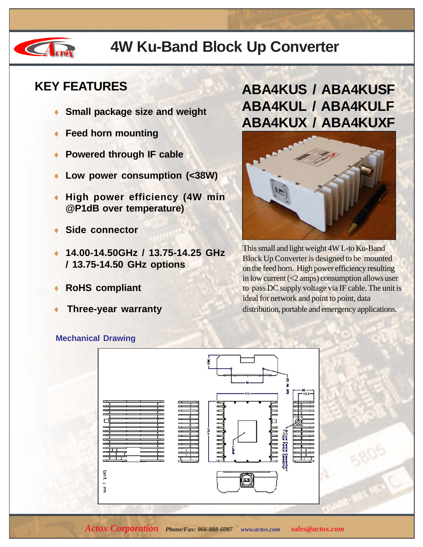

## **4W Ku-Band Block Up Converter**

#### **KEY FEATURES**

- **Small package size and weight**
- **Feed horn mounting**
- **Powered through IF cable**
- Low power consumption (<38W)
- **High power efficiency (4W min @P1dB over temperature)**
- **Side connector**
- ♦ **14.00-14.50GHz / 13.75-14.25 GHz / 13.75-14.50 GHz options**
- **RoHS compliant**
- **Three-year warranty**

### **ABA4KUS / ABA4KUSF ABA4KUL / ABA4KULF ABA4KUX / ABA4KUXF**



This small and light weight 4W L-to Ku-Band Block Up Converter is designed to be mounted on the feed horn. High power efficiency resulting in low current  $( $2 \text{amps}$ ) consumption allows user$ to pass DC supply voltage via IF cable. The unit is ideal for network and point to point, data distribution, portable and emergency applications.

#### **Mechanical Drawing**